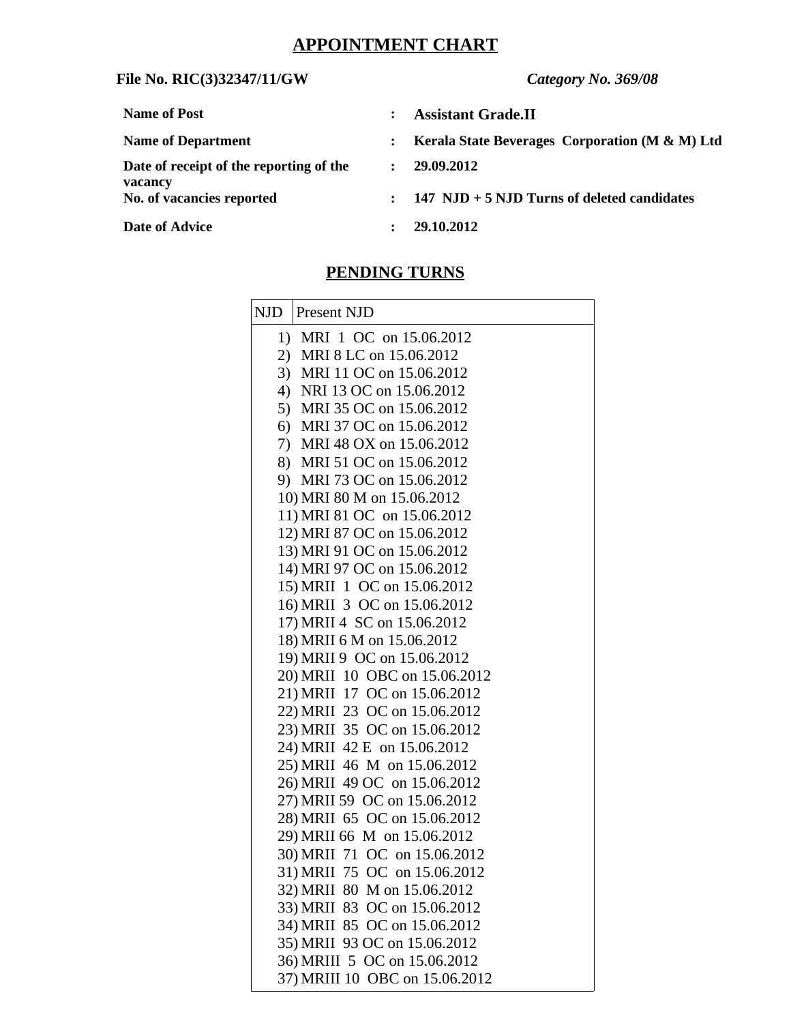## **APPOINTMENT CHART**

## **File No. RIC(3)32347/11/GW** *Category No. 369/08*

| <b>Name of Post</b>                                |                      | <b>Assistant Grade.II</b>                       |
|----------------------------------------------------|----------------------|-------------------------------------------------|
| <b>Name of Department</b>                          | $\ddot{\phantom{a}}$ | Kerala State Beverages Corporation (M & M) Ltd  |
| Date of receipt of the reporting of the<br>vacancy | $\mathbf{r}$         | 29.09.2012                                      |
| No. of vacancies reported                          |                      | $: 147$ NJD + 5 NJD Turns of deleted candidates |
| <b>Date of Advice</b>                              | $\mathbf{L}$         | 29.10.2012                                      |

## **PENDING TURNS**

| NJD | Present NJD                                               |
|-----|-----------------------------------------------------------|
|     | 1) MRI 1 OC on 15.06.2012                                 |
|     | 2) MRI 8 LC on 15.06.2012                                 |
|     | 3) MRI 11 OC on 15.06.2012                                |
|     | 4) NRI 13 OC on 15.06.2012                                |
|     | 5) MRI 35 OC on 15.06.2012                                |
|     | 6) MRI 37 OC on 15.06.2012                                |
|     | 7) MRI 48 OX on 15.06.2012                                |
|     | 8) MRI 51 OC on 15.06.2012                                |
|     | 9) MRI 73 OC on 15.06.2012                                |
|     | 10) MRI 80 M on 15.06.2012                                |
|     | 11) MRI 81 OC on 15.06.2012                               |
|     | 12) MRI 87 OC on 15.06.2012                               |
|     | 13) MRI 91 OC on 15.06.2012                               |
|     | 14) MRI 97 OC on 15.06.2012                               |
|     | 15) MRII 1 OC on 15.06.2012                               |
|     | 16) MRII 3 OC on 15.06.2012                               |
|     | 17) MRII 4 SC on 15.06.2012<br>18) MRII 6 M on 15.06.2012 |
|     | 19) MRII 9 OC on 15.06.2012                               |
|     | 20) MRII 10 OBC on 15.06.2012                             |
|     | 21) MRII 17 OC on 15.06.2012                              |
|     | 22) MRII 23 OC on 15.06.2012                              |
|     | 23) MRII 35 OC on 15.06.2012                              |
|     | 24) MRII 42 E on 15.06.2012                               |
|     | 25) MRII 46 M on 15.06.2012                               |
|     | 26) MRII 49 OC on 15.06.2012                              |
|     | 27) MRII 59 OC on 15.06.2012                              |
|     | 28) MRII 65 OC on 15.06.2012                              |
|     | 29) MRII 66 M on 15.06.2012                               |
|     | 30) MRII 71 OC on 15.06.2012                              |
|     | 31) MRII 75 OC on 15.06.2012                              |
|     | 32) MRII 80 M on 15.06.2012                               |
|     | 33) MRII 83 OC on 15.06.2012                              |
|     | 34) MRII 85 OC on 15.06.2012                              |
|     | 35) MRII 93 OC on 15.06.2012                              |
|     | 36) MRIII 5 OC on 15.06.2012                              |
|     | 37) MRIII 10 OBC on 15.06.2012                            |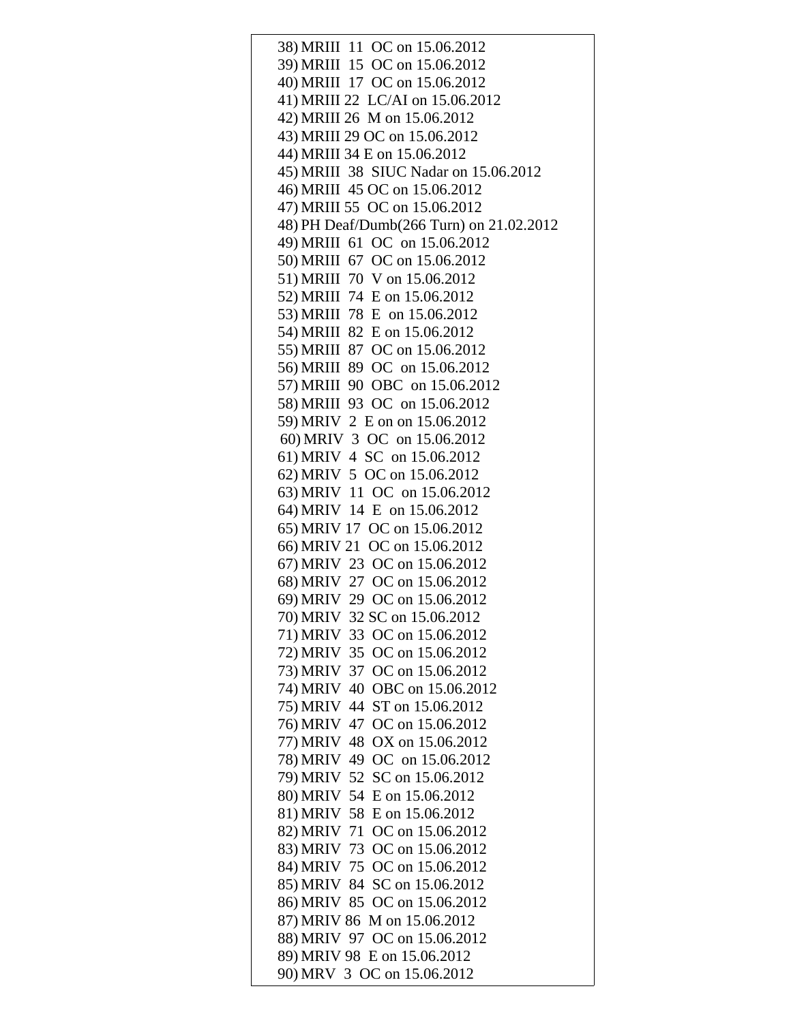| 38) MRIII 11 OC on 15.06.2012            |
|------------------------------------------|
| 39) MRIII 15 OC on 15.06.2012            |
| 40) MRIII 17 OC on 15.06.2012            |
| 41) MRIII 22 LC/AI on 15.06.2012         |
| 42) MRIII 26 M on 15.06.2012             |
| 43) MRIII 29 OC on 15.06.2012            |
|                                          |
| 44) MRIII 34 E on 15.06.2012             |
| 45) MRIII 38 SIUC Nadar on 15.06.2012    |
| 46) MRIII 45 OC on 15.06.2012            |
| 47) MRIII 55 OC on 15.06.2012            |
| 48) PH Deaf/Dumb(266 Turn) on 21.02.2012 |
| 49) MRIII 61 OC on 15.06.2012            |
| 50) MRIII 67 OC on 15.06.2012            |
| 51) MRIII 70 V on 15.06.2012             |
| 52) MRIII 74 E on 15.06.2012             |
| 53) MRIII 78 E on 15.06.2012             |
| 54) MRIII 82 E on 15.06.2012             |
| 55) MRIII 87 OC on 15.06.2012            |
| 56) MRIII 89 OC on 15.06.2012            |
| 57) MRIII 90 OBC on 15.06.2012           |
| 58) MRIII 93 OC on 15.06.2012            |
| 59) MRIV 2 E on on 15.06.2012            |
| 60) MRIV 3 OC on 15.06.2012              |
| 61) MRIV 4 SC on 15.06.2012              |
| 62) MRIV 5 OC on 15.06.2012              |
| 63) MRIV 11 OC on 15.06.2012             |
| 64) MRIV 14 E on 15.06.2012              |
| 65) MRIV 17 OC on 15.06.2012             |
| 66) MRIV 21 OC on 15.06.2012             |
|                                          |
| 67) MRIV 23 OC on 15.06.2012             |
| 68) MRIV 27 OC on 15.06.2012             |
| 69) MRIV 29 OC on 15.06.2012             |
| 70) MRIV 32 SC on 15.06.2012             |
| 71) MRIV 33 OC on 15.06.2012             |
| 72) MRIV 35 OC on 15.06.2012             |
| 73) MRIV 37 OC on 15.06.2012             |
| 74) MRIV 40 OBC on 15.06.2012            |
| 75) MRIV 44 ST on 15.06.2012             |
| 76) MRIV 47 OC on 15.06.2012             |
| 77) MRIV 48 OX on 15.06.2012             |
| 78) MRIV 49 OC on 15.06.2012             |
| 79) MRIV 52 SC on 15.06.2012             |
| 80) MRIV 54 E on 15.06.2012              |
| 81) MRIV 58 E on 15.06.2012              |
| 82) MRIV 71 OC on 15.06.2012             |
| 83) MRIV 73 OC on 15.06.2012             |
| 84) MRIV 75 OC on 15.06.2012             |
| 85) MRIV 84 SC on 15.06.2012             |
| 86) MRIV 85 OC on 15.06.2012             |
| 87) MRIV 86 M on 15.06.2012              |
|                                          |
| 88) MRIV 97 OC on 15.06.2012             |
| 89) MRIV 98 E on 15.06.2012              |
| 90) MRV 3 OC on 15.06.2012               |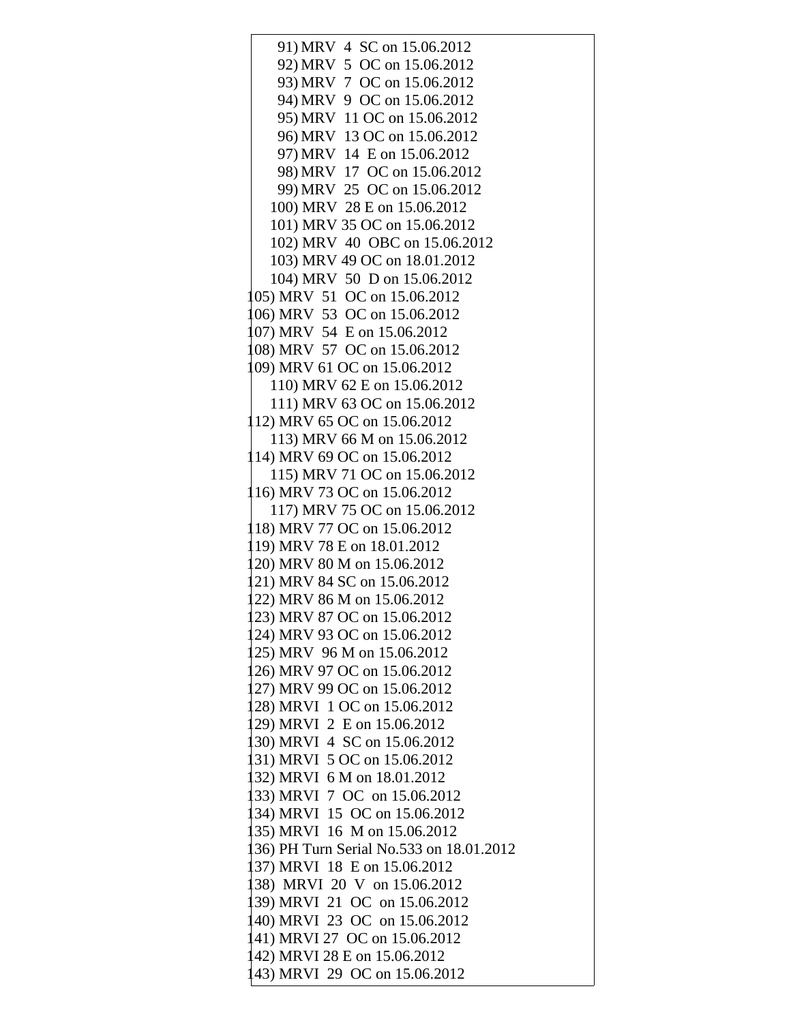91) MRV 4 SC on 15.06.2012 92) MRV 5 OC on 15.06.2012 93) MRV 7 OC on 15.06.2012 94) MRV 9 OC on 15.06.2012 95) MRV 11 OC on 15.06.2012 96) MRV 13 OC on 15.06.2012 97) MRV 14 E on 15.06.2012 98) MRV 17 OC on 15.06.2012 99) MRV 25 OC on 15.06.2012 100) MRV 28 E on 15.06.2012 101) MRV 35 OC on 15.06.2012 102) MRV 40 OBC on 15.06.2012 103) MRV 49 OC on 18.01.2012 104) MRV 50 D on 15.06.2012 105) MRV 51 OC on 15.06.2012 106) MRV 53 OC on 15.06.2012 107) MRV 54 E on 15.06.2012 108) MRV 57 OC on 15.06.2012 109) MRV 61 OC on 15.06.2012 110) MRV 62 E on 15.06.2012 111) MRV 63 OC on 15.06.2012 112) MRV 65 OC on 15.06.2012 113) MRV 66 M on 15.06.2012 114) MRV 69 OC on 15.06.2012 115) MRV 71 OC on 15.06.2012 116) MRV 73 OC on 15.06.2012 117) MRV 75 OC on 15.06.2012 118) MRV 77 OC on 15.06.2012 119) MRV 78 E on 18.01.2012 120) MRV 80 M on 15.06.2012 121) MRV 84 SC on 15.06.2012 122) MRV 86 M on 15.06.2012 123) MRV 87 OC on 15.06.2012 124) MRV 93 OC on 15.06.2012 125) MRV 96 M on 15.06.2012 126) MRV 97 OC on 15.06.2012 127) MRV 99 OC on 15.06.2012 128) MRVI 1 OC on 15.06.2012 129) MRVI 2 E on 15.06.2012 130) MRVI 4 SC on 15.06.2012 131) MRVI 5 OC on 15.06.2012 132) MRVI 6 M on 18.01.2012 133) MRVI 7 OC on 15.06.2012 134) MRVI 15 OC on 15.06.2012 135) MRVI 16 M on 15.06.2012 136) PH Turn Serial No.533 on 18.01.2012 137) MRVI 18 E on 15.06.2012 138) MRVI 20 V on 15.06.2012 139) MRVI 21 OC on 15.06.2012 140) MRVI 23 OC on 15.06.2012 141) MRVI 27 OC on 15.06.2012 142) MRVI 28 E on 15.06.2012 143) MRVI 29 OC on 15.06.2012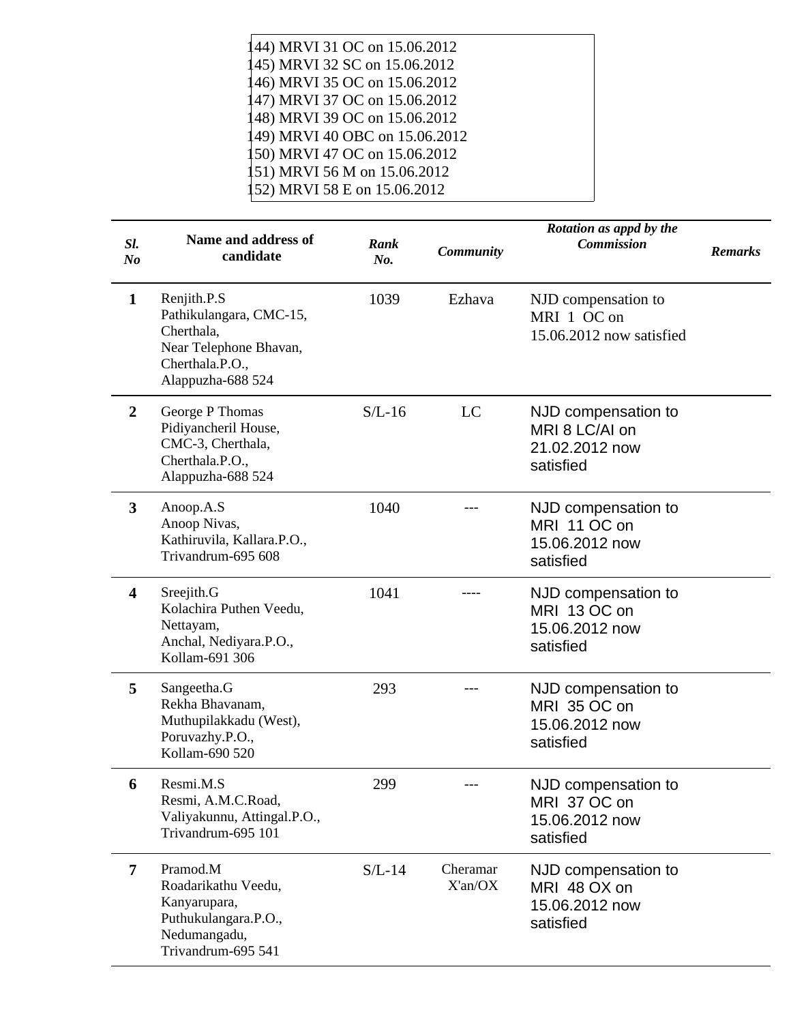| 144) MRVI 31 OC on 15.06.2012  |  |
|--------------------------------|--|
| 145) MRVI 32 SC on 15.06.2012  |  |
| 146) MRVI 35 OC on 15.06.2012  |  |
| 147) MRVI 37 OC on 15.06.2012  |  |
| 148) MRVI 39 OC on 15.06.2012  |  |
| 149) MRVI 40 OBC on 15.06.2012 |  |
| 150) MRVI 47 OC on 15.06.2012  |  |
| 151) MRVI 56 M on 15.06.2012   |  |
| 152) MRVI 58 E on 15.06.2012   |  |

| SI.<br>N <sub>o</sub>   | <b>Name and address of</b><br>candidate                                                                                | Rank<br>No. | <b>Community</b>    | Rotation as appd by the<br><b>Commission</b>                         | <b>Remarks</b> |
|-------------------------|------------------------------------------------------------------------------------------------------------------------|-------------|---------------------|----------------------------------------------------------------------|----------------|
| $\mathbf{1}$            | Renjith.P.S<br>Pathikulangara, CMC-15,<br>Cherthala,<br>Near Telephone Bhavan,<br>Cherthala.P.O.,<br>Alappuzha-688 524 | 1039        | Ezhava              | NJD compensation to<br>MRI 1 OC on<br>15.06.2012 now satisfied       |                |
| $\overline{2}$          | George P Thomas<br>Pidiyancheril House,<br>CMC-3, Cherthala,<br>Cherthala.P.O.,<br>Alappuzha-688 524                   | $S/L-16$    | LC                  | NJD compensation to<br>MRI 8 LC/AI on<br>21.02.2012 now<br>satisfied |                |
| 3                       | Anoop.A.S<br>Anoop Nivas,<br>Kathiruvila, Kallara.P.O.,<br>Trivandrum-695 608                                          | 1040        |                     | NJD compensation to<br>MRI 11 OC on<br>15.06.2012 now<br>satisfied   |                |
| $\overline{\mathbf{4}}$ | Sreejith.G<br>Kolachira Puthen Veedu,<br>Nettayam,<br>Anchal, Nediyara.P.O.,<br>Kollam-691 306                         | 1041        |                     | NJD compensation to<br>MRI 13 OC on<br>15.06.2012 now<br>satisfied   |                |
| 5                       | Sangeetha.G<br>Rekha Bhavanam,<br>Muthupilakkadu (West),<br>Poruvazhy.P.O.,<br>Kollam-690 520                          | 293         |                     | NJD compensation to<br>MRI 35 OC on<br>15.06.2012 now<br>satisfied   |                |
| 6                       | Resmi.M.S<br>Resmi, A.M.C.Road,<br>Valiyakunnu, Attingal.P.O.,<br>Trivandrum-695 101                                   | 299         |                     | NJD compensation to<br>MRI 37 OC on<br>15.06.2012 now<br>satisfied   |                |
| $\overline{7}$          | Pramod.M<br>Roadarikathu Veedu,<br>Kanyarupara,<br>Puthukulangara.P.O.,<br>Nedumangadu,<br>Trivandrum-695 541          | $S/L-14$    | Cheramar<br>X'an/OX | NJD compensation to<br>MRI 48 OX on<br>15.06.2012 now<br>satisfied   |                |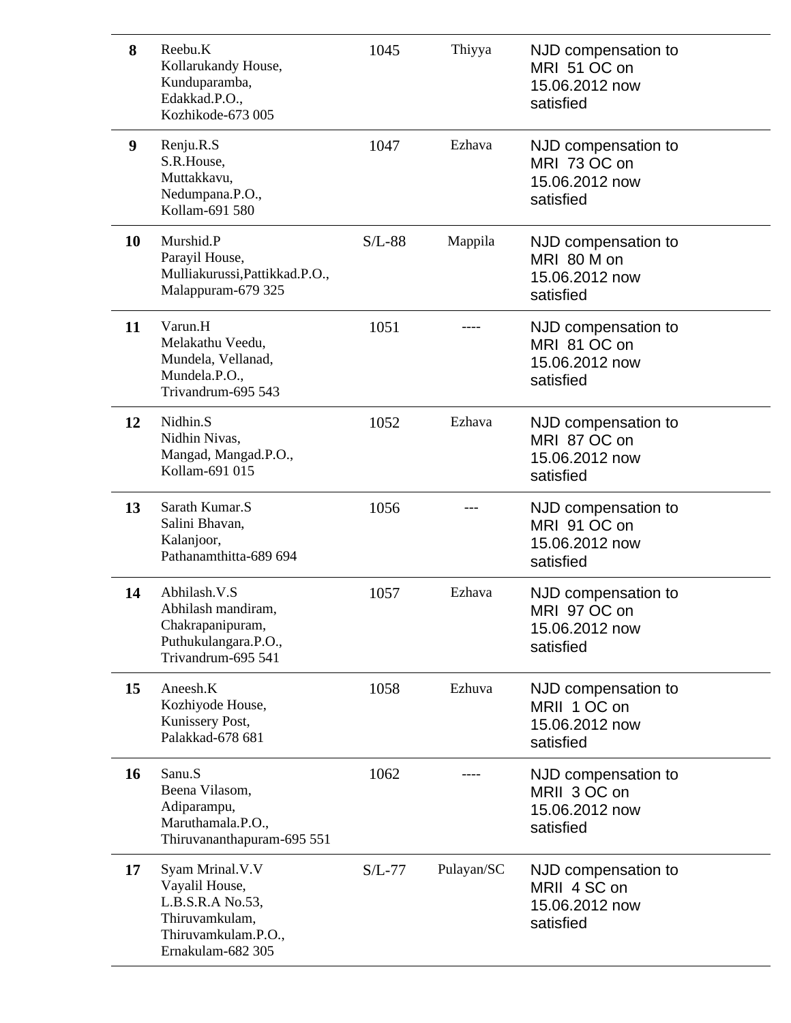| 8  | Reebu.K<br>Kollarukandy House,<br>Kunduparamba,<br>Edakkad.P.O.,<br>Kozhikode-673 005                               | 1045     | Thiyya     | NJD compensation to<br>MRI 51 OC on<br>15.06.2012 now<br>satisfied |
|----|---------------------------------------------------------------------------------------------------------------------|----------|------------|--------------------------------------------------------------------|
| 9  | Renju.R.S<br>S.R.House,<br>Muttakkavu,<br>Nedumpana.P.O.,<br>Kollam-691 580                                         | 1047     | Ezhava     | NJD compensation to<br>MRI 73 OC on<br>15.06.2012 now<br>satisfied |
| 10 | Murshid.P<br>Parayil House,<br>Mulliakurussi, Pattikkad. P.O.,<br>Malappuram-679 325                                | $S/L-88$ | Mappila    | NJD compensation to<br>MRI 80 M on<br>15.06.2012 now<br>satisfied  |
| 11 | Varun.H<br>Melakathu Veedu,<br>Mundela, Vellanad,<br>Mundela.P.O.,<br>Trivandrum-695 543                            | 1051     |            | NJD compensation to<br>MRI 81 OC on<br>15.06.2012 now<br>satisfied |
| 12 | Nidhin.S<br>Nidhin Nivas,<br>Mangad, Mangad.P.O.,<br>Kollam-691 015                                                 | 1052     | Ezhava     | NJD compensation to<br>MRI 87 OC on<br>15.06.2012 now<br>satisfied |
| 13 | Sarath Kumar.S<br>Salini Bhavan,<br>Kalanjoor,<br>Pathanamthitta-689 694                                            | 1056     |            | NJD compensation to<br>MRI 91 OC on<br>15.06.2012 now<br>satisfied |
| 14 | Abhilash.V.S<br>Abhilash mandiram,<br>Chakrapanipuram,<br>Puthukulangara.P.O.,<br>Trivandrum-695 541                | 1057     | Ezhava     | NJD compensation to<br>MRI 97 OC on<br>15.06.2012 now<br>satisfied |
| 15 | Aneesh.K<br>Kozhiyode House,<br>Kunissery Post,<br>Palakkad-678 681                                                 | 1058     | Ezhuva     | NJD compensation to<br>MRII 1 OC on<br>15.06.2012 now<br>satisfied |
| 16 | Sanu.S<br>Beena Vilasom,<br>Adiparampu,<br>Maruthamala.P.O.,<br>Thiruvananthapuram-695 551                          | 1062     |            | NJD compensation to<br>MRII 3 OC on<br>15.06.2012 now<br>satisfied |
| 17 | Syam Mrinal.V.V<br>Vayalil House,<br>L.B.S.R.A No.53,<br>Thiruvamkulam,<br>Thiruvamkulam.P.O.,<br>Ernakulam-682 305 | $S/L-77$ | Pulayan/SC | NJD compensation to<br>MRII 4 SC on<br>15.06.2012 now<br>satisfied |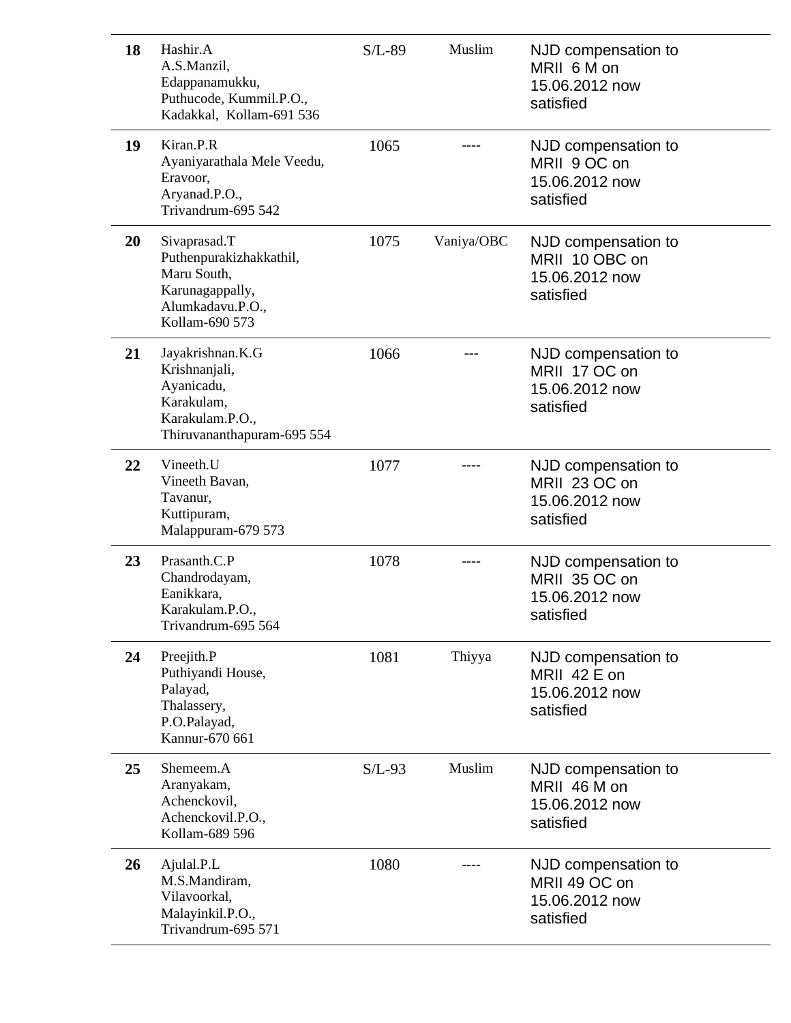| 18        | Hashir.A<br>A.S.Manzil,<br>Edappanamukku,<br>Puthucode, Kummil.P.O.,<br>Kadakkal, Kollam-691 536                | $S/L-89$ | Muslim     | NJD compensation to<br>MRII 6 M on<br>15.06.2012 now<br>satisfied    |
|-----------|-----------------------------------------------------------------------------------------------------------------|----------|------------|----------------------------------------------------------------------|
| 19        | Kiran.P.R<br>Ayaniyarathala Mele Veedu,<br>Eravoor,<br>Aryanad.P.O.,<br>Trivandrum-695 542                      | 1065     |            | NJD compensation to<br>MRII 9 OC on<br>15.06.2012 now<br>satisfied   |
| <b>20</b> | Sivaprasad.T<br>Puthenpurakizhakkathil,<br>Maru South,<br>Karunagappally,<br>Alumkadavu.P.O.,<br>Kollam-690 573 | 1075     | Vaniya/OBC | NJD compensation to<br>MRII 10 OBC on<br>15.06.2012 now<br>satisfied |
| 21        | Jayakrishnan.K.G<br>Krishnanjali,<br>Ayanicadu,<br>Karakulam,<br>Karakulam.P.O.,<br>Thiruvananthapuram-695 554  | 1066     |            | NJD compensation to<br>MRII 17 OC on<br>15.06.2012 now<br>satisfied  |
| 22        | Vineeth.U<br>Vineeth Bavan,<br>Tavanur,<br>Kuttipuram,<br>Malappuram-679 573                                    | 1077     |            | NJD compensation to<br>MRII 23 OC on<br>15.06.2012 now<br>satisfied  |
| 23        | Prasanth.C.P<br>Chandrodayam,<br>Eanikkara,<br>Karakulam.P.O.,<br>Trivandrum-695 564                            | 1078     |            | NJD compensation to<br>MRII 35 OC on<br>15.06.2012 now<br>satisfied  |
| 24        | Preejith.P<br>Puthiyandi House,<br>Palayad,<br>Thalassery,<br>P.O.Palayad,<br>Kannur-670 661                    | 1081     | Thiyya     | NJD compensation to<br>MRII 42 E on<br>15.06.2012 now<br>satisfied   |
| 25        | Shemeem.A<br>Aranyakam,<br>Achenckovil,<br>Achenckovil.P.O.,<br>Kollam-689 596                                  | $S/L-93$ | Muslim     | NJD compensation to<br>MRII 46 M on<br>15.06.2012 now<br>satisfied   |
| 26        | Ajulal.P.L<br>M.S.Mandiram,<br>Vilavoorkal,<br>Malayinkil.P.O.,<br>Trivandrum-695 571                           | 1080     |            | NJD compensation to<br>MRII 49 OC on<br>15.06.2012 now<br>satisfied  |